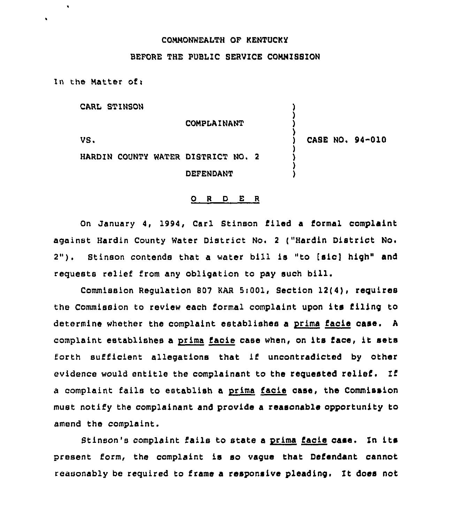## COMMONWEALTH OF KENTUCKY

## BEFORE THE PUBLIC SERVICE COMMISSION

In the Matter of:

 $\ddot{\phantom{0}}$ 

 $\ddot{\phantom{a}}$ 

CARL STINSON

COMPLAINANT

VS.

CASE NO. 94-010

) ) ) )

) ) ) )

HARDIN COUNTY WATER DISTRICT NO. 2 DEFENDANT

#### 0 <sup>R</sup> <sup>D</sup> <sup>E</sup> <sup>R</sup>

On January 4, 1994, Carl Stinson filed a formal complaint against Hardin County Water District No. <sup>2</sup> ("Hardin District No. 2"). Stinson contends that <sup>a</sup> water bill is "to [sic) high" and requests relief from any obligation to pay such bill.

Commission Regulation 807 KAR 5:001, Section 12(4), requires the Commission to review each formal complaint upon its filing to determine whether the complaint establishes a prima facie case. A complaint establishes <sup>a</sup> prima facie case when, on its face, it sets forth sufficient allegations that if uncontradicted by other evidence would entitle the complainant to the requested relief. If a complaint fails to establish a prima facie case, the Commission must notify the complainant and prcvide a reasonable opportunity to amend the complaint.

Stinson's complaint fails to state a prima facie case. In its present form, the complaint is so vague that Defendant cannot reasonably be required to frame a responsive pleading. It does not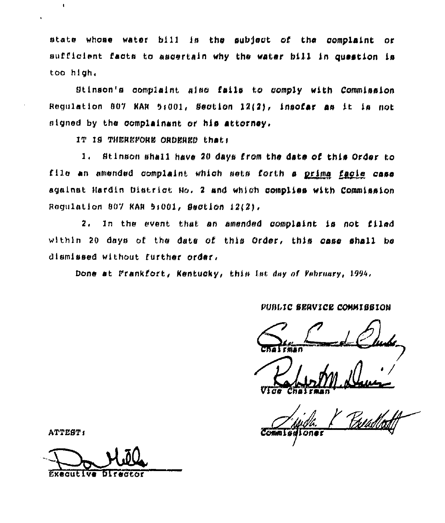state whose water bill is the subject of the complaint or sufficient facts to ascertain why the water bill in question is too high.

Stinson's complaint also fails to comply with Commission Regulation 807 KAR 5:001, Section 12(2), insofar as it is not signed by the complainant or his attorney.

IT IS THEREFORE ORDERED that:

1. Stinson shall have 20 days from the date of this Order to file an amended complaint which sets forth a prima facie case against Hardin District No. 2 and which complies with Commission Regulation 807 KAR 5:001, Section 12(2).

2. In the event that an amended complaint is not filed within 20 days of the date of this Order, this case shall be dismissed without further order.

Done at Frankfort, Kentucky, this lst day of February, 1994.

# PUBLIC SERVICE COMMISSION

Vice Chairman

**Commissioner** 

ATTEST:

Executive Director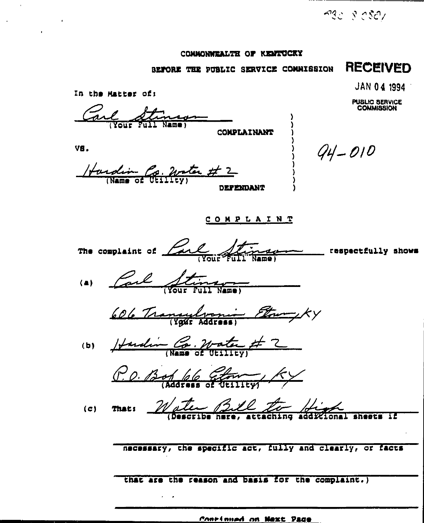| COMMONWEALTH OF KENTUCKY |  |  |
|--------------------------|--|--|
|--------------------------|--|--|

COMPLAINANT

BEFORE THE PUBLIC SERVICE COMMISSION

**RECEIVED** 

**JAN 04 1994** 

**PUBLIC SERVICE**<br>COMMISSION

VS.

In the Matter of:

Harding Co. Water # 2 **EPENDANT** 

Carl Stimson

 $Q4 - 010$ 

 $-932 - 9 - 0.52$ 

COMPLAINT

The complaint of <u>fail of the service</u> respectfully shows (a) Carl Stimes 606 Transformi Etwy XX (b) Harding Co. Water # 2 P.O. Bof 66 Etom KY That: Water Bill to High  $(c)$ necessary, the specific act, fully and clearly, or facts

that are the reason and basis for the complaint.)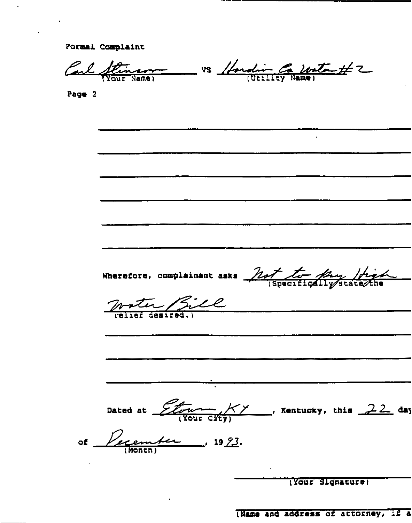**Formal Complaint** 

Carl Stinson vs Honding Rate #2

Page 2

Wherefore, complainant asks  $\frac{h_{\nu}t}{(Specifical) \sqrt{Srac{h_{\nu}t}{Srac{h_{\nu}t}{Srac{h_{\nu}t}{Srac{h_{\nu}t}{Srac{h_{\nu}t}{Srac{h_{\nu}t}{Srac{h_{\nu}t}{Srac{h_{\nu}t}{Srac{h_{\nu}t}{Srac{h_{\nu}t}{Srac{h_{\nu}t}{Srac{h_{\nu}t}{Srac{h_{\nu}t}{Srac{h_{\nu}t}{Srac{h_{\nu}t}{Srac{h_{\nu}t}{Srac{h_{\nu}t}{Srac{$ Water Bill Dated at  $\frac{f(x)}{f(x)}$   $\frac{f(x)}{f(x)}$ , Kentucky, this 22 day of Perember, 1993. (Your Signature)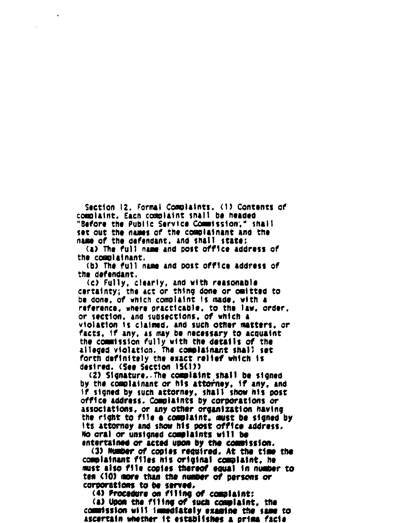Section 12, Formal Complaints, (1) Contents of complaint. Each complaint shall be headed "Before the Public Service Commission." shall set out the names of the complainant and the name of the defendant, and shall state:

(a) The full name and post office address of the commiainant.

(b) The full name and post office address of the defendant.

(c) Fully, clearly, and with reasonable certainty; the act or thing done or omitted to be done, of which complaint is made, with a reference, where practicable, to the law, order, or section, and subsections, of which a violation is claimed, and such other matters, or facts, if any, as may be necessary to acquaint the commission fully with the details of the alleged violation. The complainant shall set forth definitely the exact relief which is destred. (See Section 15(1))

(2) Signature. The complaint shall be signed by the complainant or his attorney, if any, and if signed by such attorney, shall show his post office address. Complaints by corporations or associations, or any other organization having the right to file a complaint, must be signed by its attorney and show his post office address. Mo oral or unsigned complaints will be entertained or acted upon by the commission.

(3) Number of copies required, At the time the complainant files his original complaint, he must also file copies thereof equal in number to ten (10) more than the number of persons or corporations to be served.

(4) Procedure on filing of complaint:

(a) Upon the filing of such complaint, the commission will immediately examine the same to ascertain whether it establishes a prima facie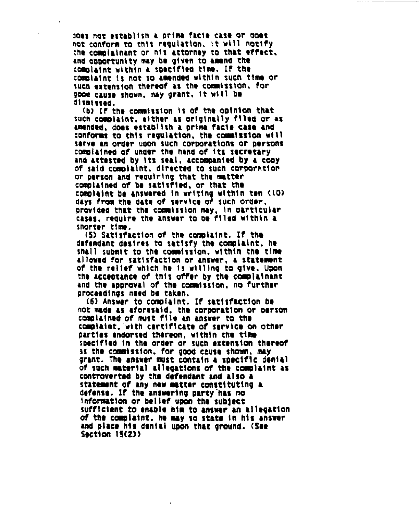coca not establish a prima facie case or does noc conform to this regulation, It vill notify the complainant or his attorney to that offect. and opportunity may be given to amend the complaint within a specified time. If the complaint Is not so amended within such time or such extension thereof as the commission. for SOOd Cauae Shown, may grant, It vill be dismissed,

(b) If the commission is of the opinion that such complaint, either as originally filed or as amended. does establish a prima facie case and conforms to this regulation, the commission will serve an order upon such corporations or persons comminined of under the hand of its secretary and attested by Its seal, accompanied by a cooy of said complaint, directed to such corporation or person and reduiring chat the matter complained of be satisfied, or that the complaint be answered in writing within ten (10) days from the date of service of such order, provided that the commission may, in particular cases. reduire the answer Co be f'lied vithin a snorter Cise.

<S) Satisfaction of the cowiaint. It the defendant desires to satisfy the complaint, he shall submit to the commission, within the time<br>tlight for entiresting on the commission of the common allowed for satisfaction or answer, a statement<br>of the relief which he is willing to give. Upon the acceptance of this offer by the complainant and the approval of the commission, no further proceedings need be taken.

(6) Answer to complaint. If satisfaction be not made aa aforesaid, the corporation or person complained of must file an answer to the ccsolialnt, vlth certificate of service on other parties endorsed thereon, within the time specified In the order or such extension thereof as the commission. for good cause shown, may grant. The answer must contain a specific denial of such material allegations of the complaint as controverted by the defendant and also a statement of any new matter constituting a defense. If the answering party has no Information or belief upon the sub]ect sufficient to enable him to answer an allegation ot the complaint, he may so state In his answer and place his denial upon that ground. <See Section IS<2))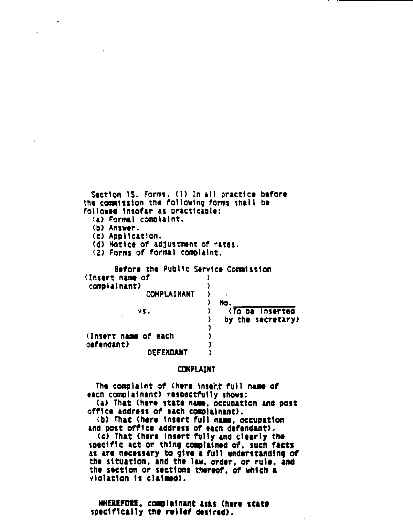Section 15. Forms. (1) In all practice before the commission the following forms shall be followed insofar as practicable: <a) Formal complaint. (b) Answer. (C) Appilcat1on. (d) Notice of adjustment of rates. (2) Forms of formal complaint. Before the Public Service Commission<br>'name.of (Insert name of complainant) (COMPLAINANT ) **COMPLAINANT** ١, No. vs.  $\overrightarrow{)}$  (To be inserted) ) by the s»cretary) ) (Insert name of each )<br>) defendant)

### **COMPLAINT**

**DEFENDANT** 

)

The complaint of (here insent full name of each complainant) respectfully shows: (a) That (here state name, occupation and post office address of each complainant). (b) That (here insert full name, occupation an4 post office address of eacn defendant). (c) That (here insert fully and clearly the specific act or thing complained of, such facts as are necessary to give a full understanding of the situation. and the law, order, or rule, and the sect1on or sections thereof, of which a violation ls claimed).

HMEREFORE. compiainant asks (here state specifically the rel'lef desired).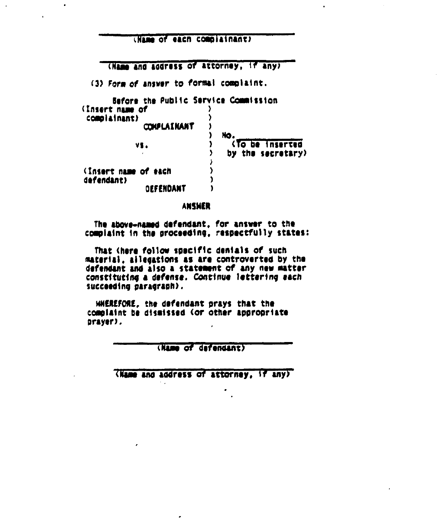| <b>CNAME</b> | of each complainant) |  |  |
|--------------|----------------------|--|--|
|              |                      |  |  |
|              |                      |  |  |
|              |                      |  |  |
|              |                      |  |  |

(Name and address of attorney, if any)

(3) Form of answer to formal complaint.

| Sefore the Public Service Commission |                   |
|--------------------------------------|-------------------|
| (Insert name of                      |                   |
| complainant)                         |                   |
| <b>COKPLAINANT</b>                   |                   |
|                                      | NO.               |
| VS.                                  | (To be inserted   |
|                                      | by the secretary) |
|                                      |                   |
| (Insert name of each                 |                   |
| defendant)                           |                   |
| OEFENDANT                            |                   |

ANSHER

The above-named defendant, for answer to the complaint in the proceeding, respectfully states:

That (here follow specific denials of such material, allegations as are controverted by the defendant and also a statement of any new matter constituting a defense. Continue lettering each succeeding paragraph).

HHEREFORE, the defendant prays that the complaint be dismissed (or other appropriate prayer).

(Name of defendant)

(Name and address of attorney, if any)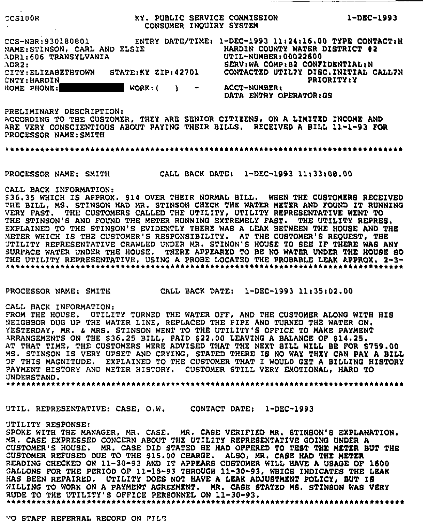| CONSUMER INQUIRY SYSTEM CONDUCTER ON T-DEC-1993                                                                                                                                                                                                                                                                                                                                                                                                                                                                                                                                                                                                                                                                                                                                              |                         |                   |
|----------------------------------------------------------------------------------------------------------------------------------------------------------------------------------------------------------------------------------------------------------------------------------------------------------------------------------------------------------------------------------------------------------------------------------------------------------------------------------------------------------------------------------------------------------------------------------------------------------------------------------------------------------------------------------------------------------------------------------------------------------------------------------------------|-------------------------|-------------------|
|                                                                                                                                                                                                                                                                                                                                                                                                                                                                                                                                                                                                                                                                                                                                                                                              |                         |                   |
| CCS-NBR:930180801 ENTRY DATE/TIME: 1-DEC-1993 11:24:16.00 TYPE CONTACT:H<br>NAME: STINSON, CARL AND ELSIE<br>NDR1:606 TRANSYLVANIA<br>ADR2: STINSON, CARL AND ELSIE<br>ADR2: SERV:NA COMPIER:00022600<br>CITY:ELIZABETHTOWN STATE:KY ZIP:42701 CONTACTED UTIL?Y DISC.INITIAL CALL?N                                                                                                                                                                                                                                                                                                                                                                                                                                                                                                          |                         |                   |
| CNTY: HARDIN                                                                                                                                                                                                                                                                                                                                                                                                                                                                                                                                                                                                                                                                                                                                                                                 |                         | <b>PRIORITY:Y</b> |
| HOME PHONE: WORK: ( ) - ACCT-NUMBER:<br>HOME PHONE: WORK: ( ) - DATA ENTRY OPE                                                                                                                                                                                                                                                                                                                                                                                                                                                                                                                                                                                                                                                                                                               | DATA ENTRY OPERATOR: GS |                   |
| PRELIMINARY DESCRIPTION:<br>ACCORDING TO THE CUSTOMER, THEY ARE SENIOR CITIZENS, ON A LIMITED INCOME AND<br>ARE VERY CONSCIENTIOUS ABOUT PAYING THEIR BILLS. RECEIVED A BILL 11-1-93 FOR<br>PROCESSOR NAME: SMITH                                                                                                                                                                                                                                                                                                                                                                                                                                                                                                                                                                            |                         |                   |
|                                                                                                                                                                                                                                                                                                                                                                                                                                                                                                                                                                                                                                                                                                                                                                                              |                         |                   |
| PROCESSOR NAME: SMITH CALL BACK DATE: 1-DEC-1993 11:33:08.00                                                                                                                                                                                                                                                                                                                                                                                                                                                                                                                                                                                                                                                                                                                                 |                         |                   |
| CALL BACK INFORMATION:<br>\$36.35 WHICH IS APPROX. \$14 OVER THEIR NORMAL BILL. WHEN THE CUSTOMERS RECEIVED<br>THE BILL, MS. STINSON HAD MR. STINSON CHECK THE WATER METER AND FOUND IT RUNNING<br>VERY FAST. THE CUSTOMERS CALLED THE UTILITY, UTILITY REPRESENTATIVE WENT TO<br>THE STINSON'S AND FOUND THE METER RUNNING EXTREMELY FAST. THE UTILITY REPRES.<br>EXPLAINED TO THE STINSON'S EVIDENTLY THERE WAS A LEAK BETWEEN THE HOUSE AND THE<br>METER WHICH IS THE CUSTOMER'S RESPONSIBILITY. AT THE CUSTOMER'S REQUEST, THE<br>UTILITY REPRESENTATIVE CRAWLED UNDER MR. STINON'S HOUSE TO SEE IF THERE WAS ANY<br>SURFACE WATER UNDER THE HOUSE. THERE APPEARED TO BE NO WATER UNDER THE HOUSE SO<br>THE UTILITY REPRESENTATIVE, USING A PROBE LOCATED THE PROBABLE LEAK APPROX. 2-3- |                         |                   |
| PROCESSOR NAME: SMITH CALL BACK DATE: 1-DEC-1993 11:35:02.00                                                                                                                                                                                                                                                                                                                                                                                                                                                                                                                                                                                                                                                                                                                                 |                         |                   |
| CALL BACK INFORMATION:<br>FROM THE HOUSE. UTILITY TURNED THE WATER OFF, AND THE CUSTOMER ALONG WITH HIS<br>NEIGHBOR DUG UP THE WATER LINE, REPLACED THE FIPE AND TURNED THE WATER ON.<br>YESTERDAY, MR. & MRS. STINSON WENT TO THE UTILITY'S OFFICE TO MAKE PAYMENT<br>ARRANGEMENTS ON THE \$36.25 BILL, PAID \$22.00 LEAVING A BALANCE OF \$14.25.<br>AT THAT TIME, THE CUSTOMERS WERE ADVISED THAT THE NEXT BILL WILL BE FOR \$759.00<br>MS. STINSON IS VERY UPSET AND CRYING, STATED THERE IS NO WAY THEY CAN PAY A BILL<br>OF THIS MAGNITUDE. EXPLAINED TO THE CUSTOMER THAT I WOULD GET A BILLING HISTORY<br>PAYMENT HISTORY AND METER HISTORY. CUSTOMER STILL VERY EMOTIONAL, HARD TO<br><b>UNDERSTAND.</b>                                                                            |                         |                   |
|                                                                                                                                                                                                                                                                                                                                                                                                                                                                                                                                                                                                                                                                                                                                                                                              |                         |                   |
| UTIL. REPRESENTATIVE: CASE, O.W. CONTACT DATE: 1-DEC-1993                                                                                                                                                                                                                                                                                                                                                                                                                                                                                                                                                                                                                                                                                                                                    |                         |                   |
| UTILITY RESPONSE:<br>SPOKE WITH THE MANAGER, MR. CASE. MR. CASE VERIFIED MR. STINGON'S EXPLANATION.<br>MR. CASE EXPRESSED CONCERN ABOUT THE UTILITY REPRESENTATIVE GOING UNDER A<br>CUSTOMER'S HOUSE. MR. CASE DID STATED HE HAD OFFERED TO TEST THE METER BUT THE<br>CUSTOMER REFUSED DUE TO THE \$15.00 CHARGE. ALSO, MR. CASE HAD THE METER<br>READING CHECKED ON 11-30-93 AND IT APPEARS CUSTOMER WILL HAVE A USAGE OF 1600<br>GALLONS FOR THE PERIOD OF 11-15-93 THROUGH 11-30-93, WHICH INDICATES THE LEAK<br>HAS BEEN REPAIRED. UTILITY DOES NOT HAVE A LEAK ADJUSTMENT POLICY, BUT IS<br>WILLING TO WORK ON A PAYMENT AGREEMENT. MR. CASE STATED MS. STINSON WAS VERY<br>RUDE TO THE UTILITY'S OFFICE PERSONNEL ON 11-30-93.                                                         |                         |                   |

 $-- -$ 

WO STAFF REFERRAL RECORD ON FILE